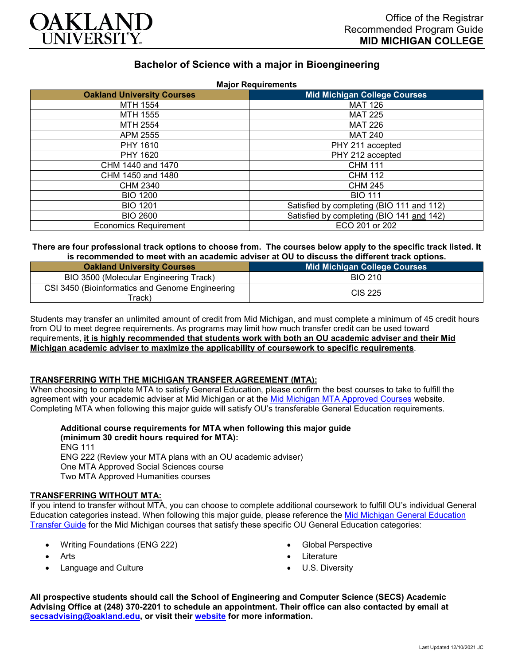

# **Bachelor of Science with a major in Bioengineering**

|  | <b>Major Requirements</b> |
|--|---------------------------|
|  |                           |

| <b>Oakland University Courses</b> | <b>Mid Michigan College Courses</b>       |  |  |  |
|-----------------------------------|-------------------------------------------|--|--|--|
| MTH 1554                          | <b>MAT 126</b>                            |  |  |  |
| MTH 1555                          | <b>MAT 225</b>                            |  |  |  |
| MTH 2554                          | <b>MAT 226</b>                            |  |  |  |
| APM 2555                          | <b>MAT 240</b>                            |  |  |  |
| PHY 1610                          | PHY 211 accepted                          |  |  |  |
| PHY 1620                          | PHY 212 accepted                          |  |  |  |
| CHM 1440 and 1470                 | <b>CHM 111</b>                            |  |  |  |
| CHM 1450 and 1480                 | <b>CHM 112</b>                            |  |  |  |
| <b>CHM 2340</b>                   | <b>CHM 245</b>                            |  |  |  |
| <b>BIO 1200</b>                   | <b>BIO 111</b>                            |  |  |  |
| <b>BIO 1201</b>                   | Satisfied by completing (BIO 111 and 112) |  |  |  |
| <b>BIO 2600</b>                   | Satisfied by completing (BIO 141 and 142) |  |  |  |
| <b>Economics Requirement</b>      | ECO 201 or 202                            |  |  |  |

# **There are four professional track options to choose from. The courses below apply to the specific track listed. It is recommended to meet with an academic adviser at OU to discuss the different track options.**

| <b>Oakland University Courses</b>                                      | <b>Mid Michigan College Courses</b> |
|------------------------------------------------------------------------|-------------------------------------|
| BIO 3500 (Molecular Engineering Track)                                 | <b>BIO 210</b>                      |
| CSI 3450 (Bioinformatics and Genome Engineering<br>Track) <sup>-</sup> | <b>CIS 225</b>                      |

Students may transfer an unlimited amount of credit from Mid Michigan, and must complete a minimum of 45 credit hours from OU to meet degree requirements. As programs may limit how much transfer credit can be used toward requirements, **it is highly recommended that students work with both an OU academic adviser and their Mid Michigan academic adviser to maximize the applicability of coursework to specific requirements**.

# **TRANSFERRING WITH THE MICHIGAN TRANSFER AGREEMENT (MTA):**

When choosing to complete MTA to satisfy General Education, please confirm the best courses to take to fulfill the agreement with your academic adviser at Mid Michigan or at the [Mid Michigan MTA Approved Courses](https://www.midmich.edu/academics/transfer/mta) website. Completing MTA when following this major guide will satisfy OU's transferable General Education requirements.

#### **Additional course requirements for MTA when following this major guide (minimum 30 credit hours required for MTA):**

ENG 111 ENG 222 (Review your MTA plans with an OU academic adviser) One MTA Approved Social Sciences course Two MTA Approved Humanities courses

# **TRANSFERRING WITHOUT MTA:**

If you intend to transfer without MTA, you can choose to complete additional coursework to fulfill OU's individual General Education categories instead. When following this major guide, please reference the [Mid Michigan General Education](https://www.oakland.edu/Assets/Oakland/program-guides/mid-michigan-community-college/university-general-education-requirements/Mid%20Michigan%20Gen%20Ed.pdf)  [Transfer Guide](https://www.oakland.edu/Assets/Oakland/program-guides/mid-michigan-community-college/university-general-education-requirements/Mid%20Michigan%20Gen%20Ed.pdf) for the Mid Michigan courses that satisfy these specific OU General Education categories:

- Writing Foundations (ENG 222)
- Arts
- Language and Culture
- Global Perspective
- **Literature**
- U.S. Diversity

**All prospective students should call the School of Engineering and Computer Science (SECS) Academic Advising Office at (248) 370-2201 to schedule an appointment. Their office can also contacted by email at [secsadvising@oakland.edu,](mailto:secsadvising@oakland.edu) or visit their [website](https://wwwp.oakland.edu/secs/advising/) for more information.**